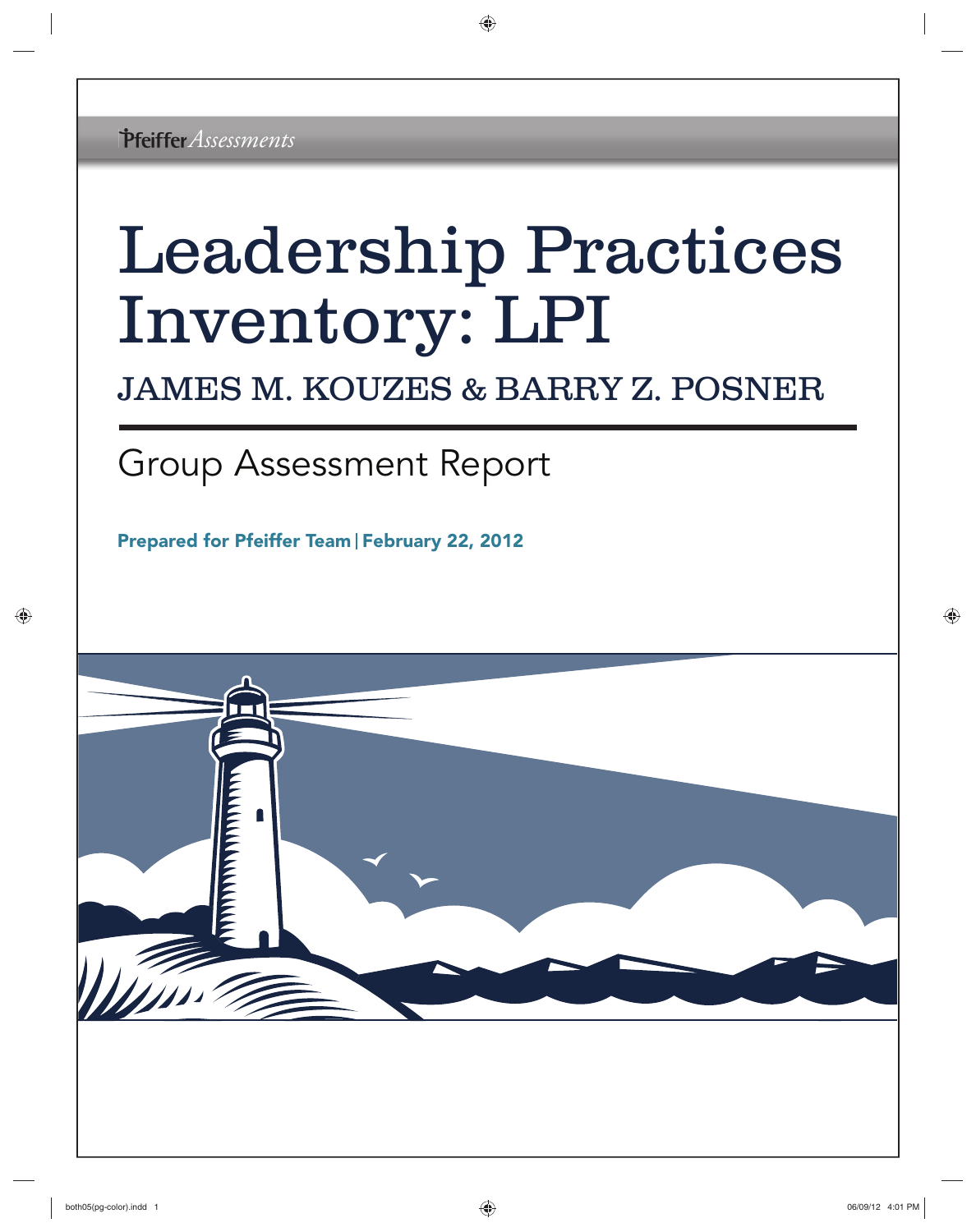# Leadership Practices Inventory: LPI

## JAMES M. KOUZES & BARRY Z. POSNER

# Group Assessment Report

Prepared for Pfeiffer Team | February 22, 2012

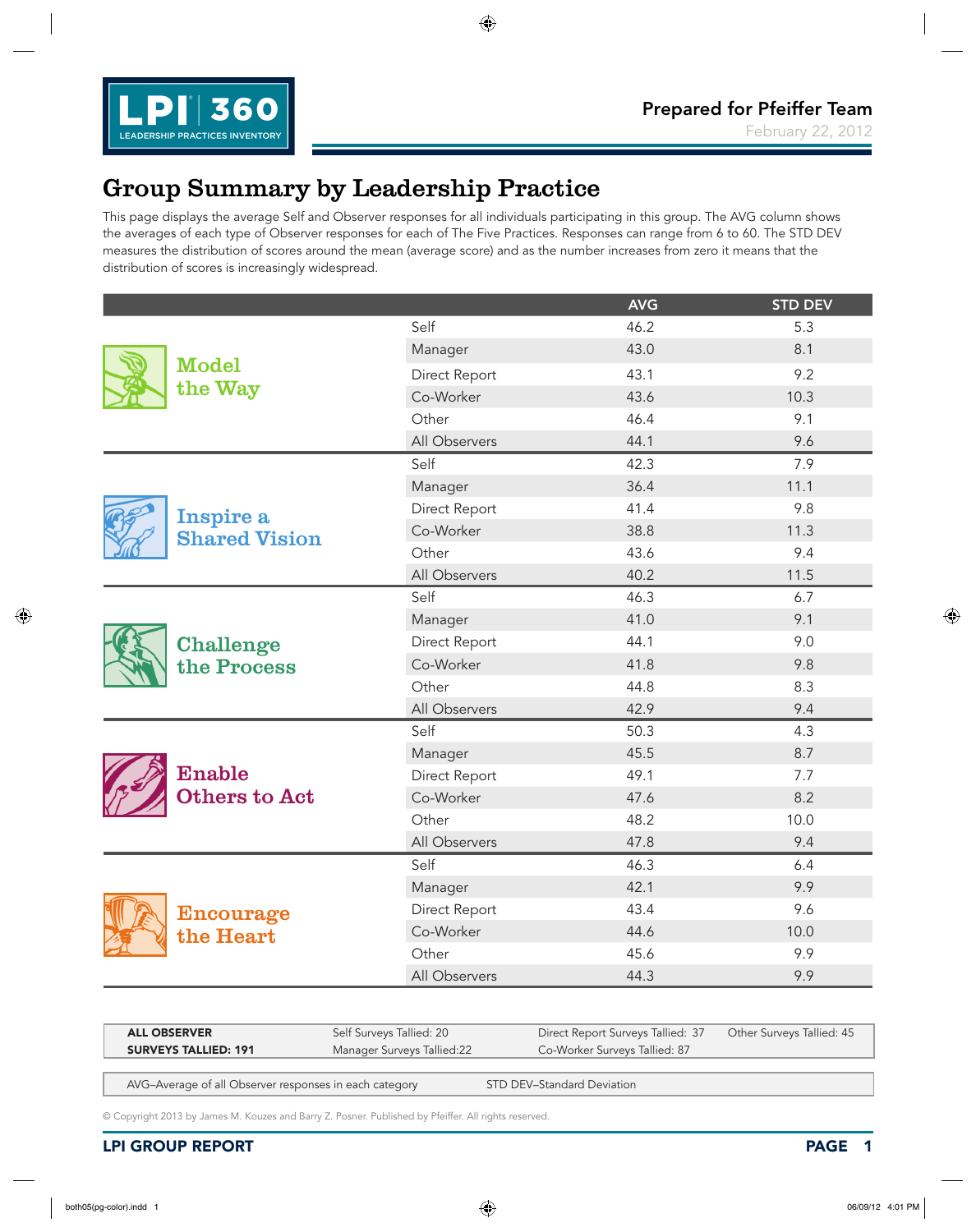

### Group Summary by Leadership Practice

This page displays the average Self and Observer responses for all individuals participating in this group. The AVG column shows the averages of each type of Observer responses for each of The Five Practices. Responses can range from 6 to 60. The STD DEV measures the distribution of scores around the mean (average score) and as the number increases from zero it means that the distribution of scores is increasingly widespread.

|                      |               | <b>AVG</b> | <b>STD DEV</b> |
|----------------------|---------------|------------|----------------|
|                      | Self          | 46.2       | 5.3            |
|                      | Manager       | 43.0       | 8.1            |
| <b>Model</b>         | Direct Report | 43.1       | 9.2            |
| the Way              | Co-Worker     | 43.6       | 10.3           |
|                      | Other         | 46.4       | 9.1            |
|                      | All Observers | 44.1       | 9.6            |
|                      | Self          | 42.3       | 7.9            |
|                      | Manager       | 36.4       | 11.1           |
| Inspire a            | Direct Report | 41.4       | 9.8            |
| <b>Shared Vision</b> | Co-Worker     | 38.8       | 11.3           |
|                      | Other         | 43.6       | 9.4            |
|                      | All Observers | 40.2       | 11.5           |
|                      | Self          | 46.3       | 6.7            |
|                      | Manager       | 41.0       | 9.1            |
| Challenge            | Direct Report | 44.1       | 9.0            |
| the Process          | Co-Worker     | 41.8       | 9.8            |
|                      | Other         | 44.8       | 8.3            |
|                      | All Observers | 42.9       | 9.4            |
|                      | Self          | 50.3       | 4.3            |
|                      | Manager       | 45.5       | 8.7            |
| Enable               | Direct Report | 49.1       | 7.7            |
| Others to Act        | Co-Worker     | 47.6       | 8.2            |
|                      | Other         | 48.2       | 10.0           |
|                      | All Observers | 47.8       | 9.4            |
|                      | Self          | 46.3       | 6.4            |
|                      | Manager       | 42.1       | 9.9            |
| Encourage            | Direct Report | 43.4       | 9.6            |
| the Heart            | Co-Worker     | 44.6       | 10.0           |
|                      | Other         | 45.6       | 9.9            |
|                      | All Observers | 44.3       | 9.9            |

| <b>ALL OBSERVER</b>                                       | Self Surveys Tallied: 20 | Direct Report Surveys Tallied: 37 Other Surveys Tallied: 45 |  |
|-----------------------------------------------------------|--------------------------|-------------------------------------------------------------|--|
| <b>SURVEYS TALLIED: 191</b><br>Manager Surveys Tallied:22 |                          | Co-Worker Surveys Tallied: 87                               |  |

AVG-Average of all Observer responses in each category STD DEV-Standard Deviation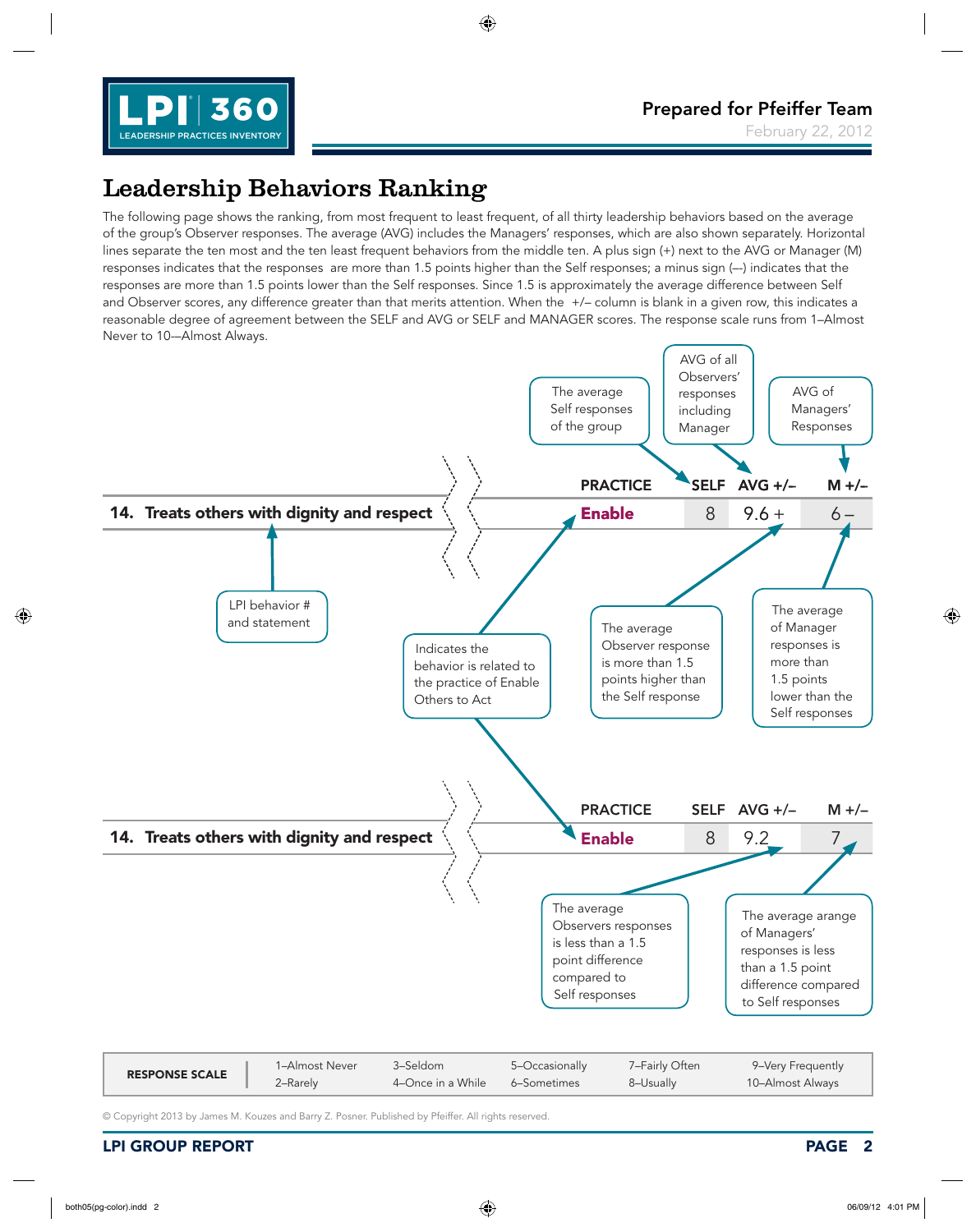

### Leadership Behaviors Ranking

The following page shows the ranking, from most frequent to least frequent, of all thirty leadership behaviors based on the average of the group's Observer responses. The average (AVG) includes the Managers' responses, which are also shown separately. Horizontal lines separate the ten most and the ten least frequent behaviors from the middle ten. A plus sign (+) next to the AVG or Manager (M) responses indicates that the responses are more than 1.5 points higher than the Self responses; a minus sign (--) indicates that the responses are more than 1.5 points lower than the Self responses. Since 1.5 is approximately the average difference between Self and Observer scores, any difference greater than that merits attention. When the +/– column is blank in a given row, this indicates a reasonable degree of agreement between the SELF and AVG or SELF and MANAGER scores. The response scale runs from 1–Almost Never to 10-–Almost Always.

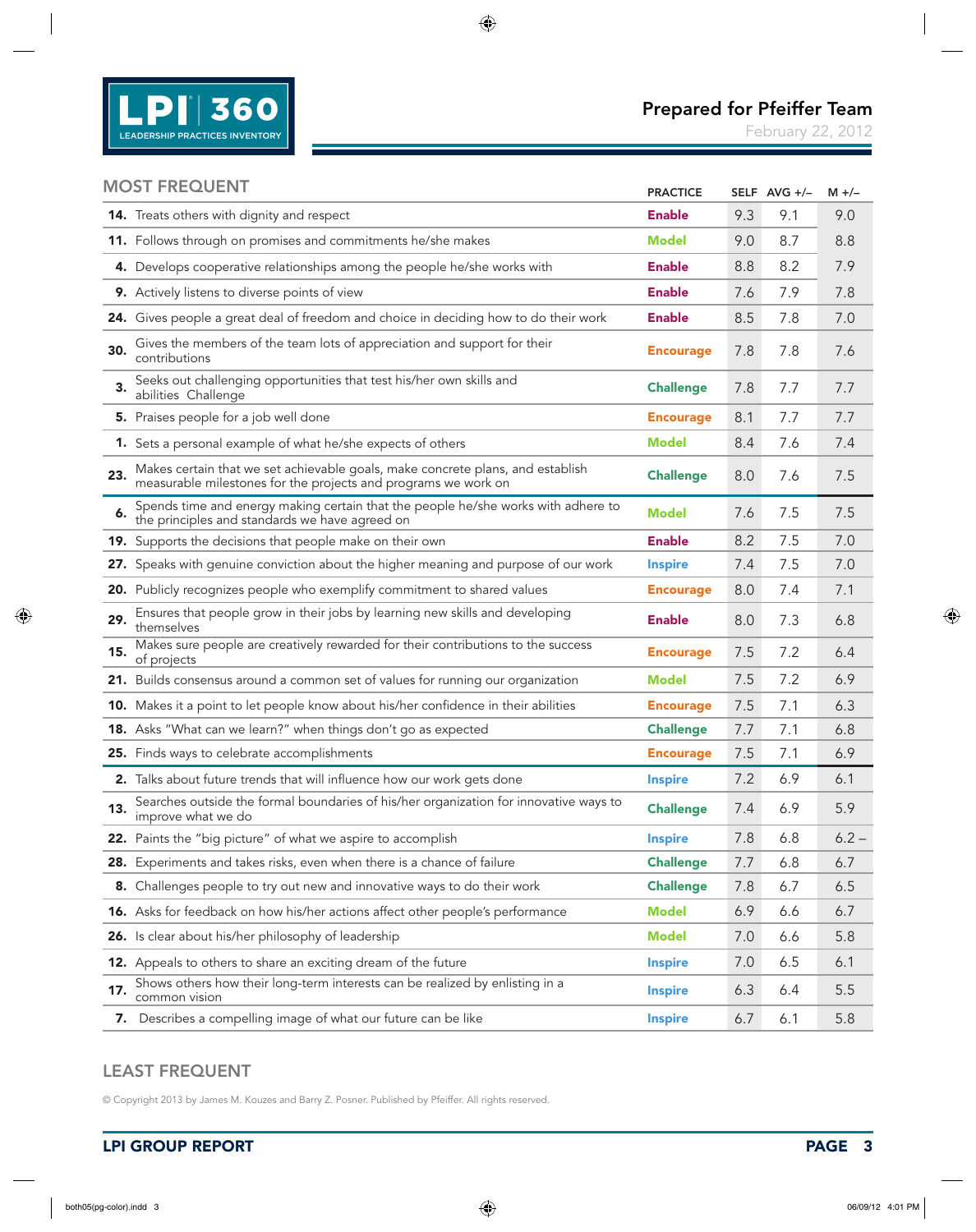

February 22, 2012

#### MOST FREQUENT

|     | <b>MOST FREQUENT</b>                                                                                                                             | <b>PRACTICE</b>  |     | SELF AVG +/- | $M +/-$ |
|-----|--------------------------------------------------------------------------------------------------------------------------------------------------|------------------|-----|--------------|---------|
|     | 14. Treats others with dignity and respect                                                                                                       | <b>Enable</b>    | 9.3 | 9.1          | 9.0     |
|     | 11. Follows through on promises and commitments he/she makes                                                                                     | <b>Model</b>     | 9.0 | 8.7          | 8.8     |
|     | 4. Develops cooperative relationships among the people he/she works with                                                                         | <b>Enable</b>    | 8.8 | 8.2          | 7.9     |
|     | 9. Actively listens to diverse points of view                                                                                                    | <b>Enable</b>    | 7.6 | 7.9          | 7.8     |
|     | 24. Gives people a great deal of freedom and choice in deciding how to do their work                                                             | <b>Enable</b>    | 8.5 | 7.8          | 7.0     |
| 30. | Gives the members of the team lots of appreciation and support for their<br>contributions                                                        | <b>Encourage</b> | 7.8 | 7.8          | 7.6     |
| 3.  | Seeks out challenging opportunities that test his/her own skills and<br>abilities Challenge                                                      | <b>Challenge</b> | 7.8 | 7.7          | 7.7     |
|     | 5. Praises people for a job well done                                                                                                            | <b>Encourage</b> | 8.1 | 7.7          | 7.7     |
|     | 1. Sets a personal example of what he/she expects of others                                                                                      | Model            | 8.4 | 7.6          | 7.4     |
| 23. | Makes certain that we set achievable goals, make concrete plans, and establish<br>measurable milestones for the projects and programs we work on | <b>Challenge</b> | 8.0 | 7.6          | 7.5     |
| 6.  | Spends time and energy making certain that the people he/she works with adhere to<br>the principles and standards we have agreed on              | Model            | 7.6 | 7.5          | 7.5     |
|     | 19. Supports the decisions that people make on their own                                                                                         | <b>Enable</b>    | 8.2 | 7.5          | 7.0     |
|     | 27. Speaks with genuine conviction about the higher meaning and purpose of our work                                                              | <b>Inspire</b>   | 7.4 | 7.5          | 7.0     |
|     | 20. Publicly recognizes people who exemplify commitment to shared values                                                                         | <b>Encourage</b> | 8.0 | 7.4          | 7.1     |
| 29. | Ensures that people grow in their jobs by learning new skills and developing<br>themselves                                                       | <b>Enable</b>    | 8.0 | 7.3          | 6.8     |
| 15. | Makes sure people are creatively rewarded for their contributions to the success<br>of projects                                                  | <b>Encourage</b> | 7.5 | 7.2          | 6.4     |
|     | 21. Builds consensus around a common set of values for running our organization                                                                  | <b>Model</b>     | 7.5 | 7.2          | 6.9     |
|     | 10. Makes it a point to let people know about his/her confidence in their abilities                                                              | <b>Encourage</b> | 7.5 | 7.1          | 6.3     |
|     | 18. Asks "What can we learn?" when things don't go as expected                                                                                   | <b>Challenge</b> | 7.7 | 7.1          | 6.8     |
|     | 25. Finds ways to celebrate accomplishments                                                                                                      | <b>Encourage</b> | 7.5 | 7.1          | 6.9     |
|     | 2. Talks about future trends that will influence how our work gets done                                                                          | <b>Inspire</b>   | 7.2 | 6.9          | 6.1     |
| 13. | Searches outside the formal boundaries of his/her organization for innovative ways to<br>improve what we do                                      | <b>Challenge</b> | 7.4 | 6.9          | 5.9     |
|     | 22. Paints the "big picture" of what we aspire to accomplish                                                                                     | <b>Inspire</b>   | 7.8 | 6.8          | $6.2 -$ |
|     | 28. Experiments and takes risks, even when there is a chance of failure                                                                          | <b>Challenge</b> | 7.7 | 6.8          | 6.7     |
|     | 8. Challenges people to try out new and innovative ways to do their work                                                                         | <b>Challenge</b> | 7.8 | 6.7          | 6.5     |
|     | 16. Asks for feedback on how his/her actions affect other people's performance                                                                   | <b>Model</b>     | 6.9 | 6.6          | 6.7     |
|     | 26. Is clear about his/her philosophy of leadership                                                                                              | <b>Model</b>     | 7.0 | 6.6          | 5.8     |
|     | 12. Appeals to others to share an exciting dream of the future                                                                                   | <b>Inspire</b>   | 7.0 | 6.5          | 6.1     |
| 17. | Shows others how their long-term interests can be realized by enlisting in a<br>common vision                                                    | <b>Inspire</b>   | 6.3 | 6.4          | 5.5     |
|     | 7. Describes a compelling image of what our future can be like                                                                                   | <b>Inspire</b>   | 6.7 | 6.1          | 5.8     |
|     |                                                                                                                                                  |                  |     |              |         |

#### LEAST FREQUENT